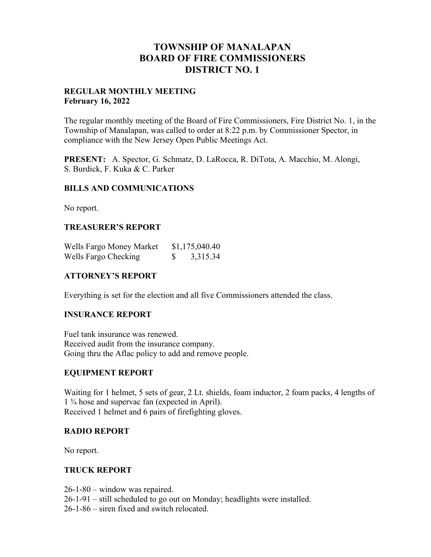## **TOWNSHIP OF MANALAPAN BOARD OF FIRE COMMISSIONERS DISTRICT NO. 1**

#### **REGULAR MONTHLY MEETING February 16, 2022**

The regular monthly meeting of the Board of Fire Commissioners, Fire District No. 1, in the Township of Manalapan, was called to order at 8:22 p.m. by Commissioner Spector, in compliance with the New Jersey Open Public Meetings Act.

**PRESENT:** A. Spector, G. Schmatz, D. LaRocca, R. DiTota, A. Macchio, M. Alongi, S. Burdick, F. Kuka & C. Parker

### **BILLS AND COMMUNICATIONS**

No report.

### **TREASURER'S REPORT**

| Wells Fargo Money Market | \$1,175,040.40 |
|--------------------------|----------------|
| Wells Fargo Checking     | 3,315.34       |

### **ATTORNEY'S REPORT**

Everything is set for the election and all five Commissioners attended the class.

### **INSURANCE REPORT**

Fuel tank insurance was renewed. Received audit from the insurance company. Going thru the Aflac policy to add and remove people.

### **EQUIPMENT REPORT**

Waiting for 1 helmet, 5 sets of gear, 2 Lt. shields, foam inductor, 2 foam packs, 4 lengths of 1 ¾ hose and supervac fan (expected in April). Received 1 helmet and 6 pairs of firefighting gloves.

### **RADIO REPORT**

No report.

### **TRUCK REPORT**

26-1-80 – window was repaired.

26-1-91 – still scheduled to go out on Monday; headlights were installed.

26-1-86 – siren fixed and switch relocated.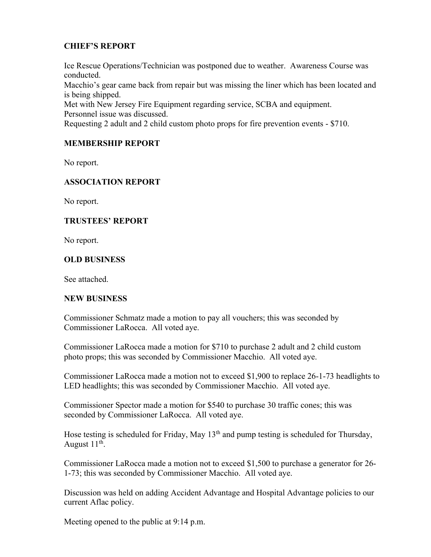### **CHIEF'S REPORT**

Ice Rescue Operations/Technician was postponed due to weather. Awareness Course was conducted.

Macchio's gear came back from repair but was missing the liner which has been located and is being shipped.

Met with New Jersey Fire Equipment regarding service, SCBA and equipment. Personnel issue was discussed.

Requesting 2 adult and 2 child custom photo props for fire prevention events - \$710.

### **MEMBERSHIP REPORT**

No report.

### **ASSOCIATION REPORT**

No report.

### **TRUSTEES' REPORT**

No report.

### **OLD BUSINESS**

See attached.

### **NEW BUSINESS**

Commissioner Schmatz made a motion to pay all vouchers; this was seconded by Commissioner LaRocca. All voted aye.

Commissioner LaRocca made a motion for \$710 to purchase 2 adult and 2 child custom photo props; this was seconded by Commissioner Macchio. All voted aye.

Commissioner LaRocca made a motion not to exceed \$1,900 to replace 26-1-73 headlights to LED headlights; this was seconded by Commissioner Macchio. All voted aye.

Commissioner Spector made a motion for \$540 to purchase 30 traffic cones; this was seconded by Commissioner LaRocca. All voted aye.

Hose testing is scheduled for Friday, May 13<sup>th</sup> and pump testing is scheduled for Thursday, August  $11<sup>th</sup>$ .

Commissioner LaRocca made a motion not to exceed \$1,500 to purchase a generator for 26- 1-73; this was seconded by Commissioner Macchio. All voted aye.

Discussion was held on adding Accident Advantage and Hospital Advantage policies to our current Aflac policy.

Meeting opened to the public at 9:14 p.m.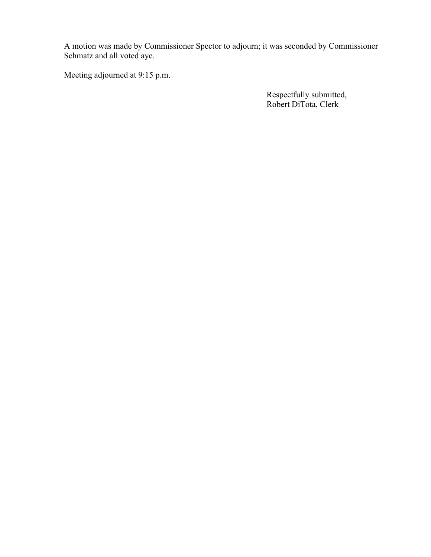A motion was made by Commissioner Spector to adjourn; it was seconded by Commissioner Schmatz and all voted aye.

Meeting adjourned at 9:15 p.m.

 Respectfully submitted, Robert DiTota, Clerk